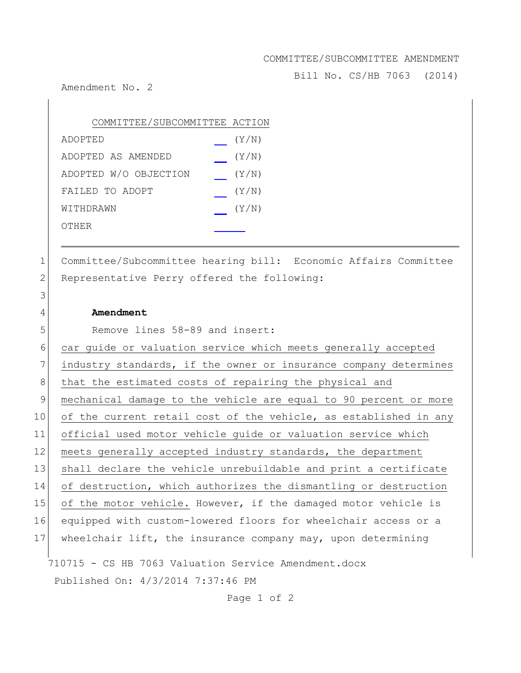## COMMITTEE/SUBCOMMITTEE AMENDMENT

Bill No. CS/HB 7063 (2014)

Amendment No. 2

| COMMITTEE/SUBCOMMITTEE ACTION |       |
|-------------------------------|-------|
| ADOPTED                       | (Y/N) |
| ADOPTED AS AMENDED            | (Y/N) |
| ADOPTED W/O OBJECTION         | (Y/N) |
| FAILED TO ADOPT               | (Y/N) |
| WITHDRAWN                     | (Y/N) |
| OTHER                         |       |

1 Committee/Subcommittee hearing bill: Economic Affairs Committee 2 Representative Perry offered the following:

## 4 **Amendment**

3

5 Remove lines 58-89 and insert:

710715 - CS HB 7063 Valuation Service Amendment.docx Published On: 4/3/2014 7:37:46 PM 6 car guide or valuation service which meets generally accepted 7 industry standards, if the owner or insurance company determines 8 that the estimated costs of repairing the physical and 9 mechanical damage to the vehicle are equal to 90 percent or more 10 of the current retail cost of the vehicle, as established in any 11 official used motor vehicle guide or valuation service which 12 meets generally accepted industry standards, the department 13 shall declare the vehicle unrebuildable and print a certificate 14 of destruction, which authorizes the dismantling or destruction 15 of the motor vehicle. However, if the damaged motor vehicle is 16 equipped with custom-lowered floors for wheelchair access or a 17 Wheelchair lift, the insurance company may, upon determining

Page 1 of 2